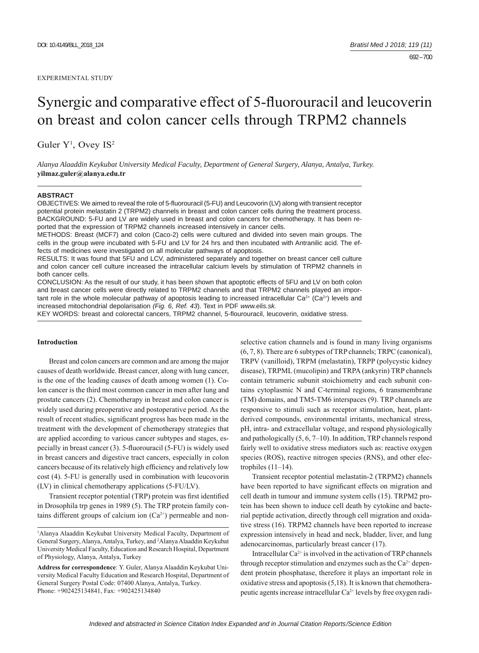# Synergic and comparative effect of 5-fluorouracil and leucoverin on breast and colon cancer cells through TRPM2 channels

Guler  $Y^1$ , Ovey IS<sup>2</sup>

*Alanya Alaaddin Keykubat University Medical Faculty, Department of General Surgery, Alanya, Antalya, Turkey.*  **yilmaz.guler@alanya.edu.tr**

#### **ABSTRACT**

OBJECTIVES: We aimed to reveal the role of 5-fluorouracil (5-FU) and Leucovorin (LV) along with transient receptor potential protein melastatin 2 (TRPM2) channels in breast and colon cancer cells during the treatment process. BACKGROUND: 5-FU and LV are widely used in breast and colon cancers for chemotherapy. It has been reported that the expression of TRPM2 channels increased intensively in cancer cells.

METHODS: Breast (MCF7) and colon (Caco-2) cells were cultured and divided into seven main groups. The cells in the group were incubated with 5-FU and LV for 24 hrs and then incubated with Antranilic acid. The effects of medicines were investigated on all molecular pathways of apoptosis.

RESULTS: It was found that 5FU and LCV, administered separately and together on breast cancer cell culture and colon cancer cell culture increased the intracellular calcium levels by stimulation of TRPM2 channels in both cancer cells.

CONCLUSION: As the result of our study, it has been shown that apoptotic effects of 5FU and LV on both colon and breast cancer cells were directly related to TRPM2 channels and that TRPM2 channels played an important role in the whole molecular pathway of apoptosis leading to increased intracellular Ca<sup>2+</sup> (Ca<sup>2+</sup>) levels and increased mitochondrial depolarisation *(Fig. 6, Ref. 43*). Text in PDF *www.elis.sk.*

KEY WORDS: breast and colorectal cancers, TRPM2 channel, 5-flourouracil, leucoverin, oxidative stress.

## **Introduction**

Breast and colon cancers are common and are among the major causes of death worldwide. Breast cancer, along with lung cancer, is the one of the leading causes of death among women (1). Colon cancer is the third most common cancer in men after lung and prostate cancers (2). Chemotherapy in breast and colon cancer is widely used during preoperative and postoperative period. As the result of recent studies, significant progress has been made in the treatment with the development of chemotherapy strategies that are applied according to various cancer subtypes and stages, especially in breast cancer  $(3)$ . 5-fluorouracil  $(5-FU)$  is widely used in breast cancers and digestive tract cancers, especially in colon cancers because of its relatively high efficiency and relatively low cost (4). 5-FU is generally used in combination with leucovorin (LV) in clinical chemotherapy applications (5-FU/LV).

Transient receptor potential (TRP) protein was first identified in Drosophila trp genes in 1989 (5). The TRP protein family contains different groups of calcium ion  $(Ca^{2+})$  permeable and nonselective cation channels and is found in many living organisms (6, 7, 8). There are 6 subtypes of TRP channels; TRPC (canonical), TRPV (vanilloid), TRPM (melastatin), TRPP (polycystic kidney disease), TRPML (mucolipin) and TRPA (ankyrin) TRP channels contain tetrameric subunit stoichiometry and each subunit contains cytoplasmic N and C-terminal regions, 6 transmembrane (TM) domains, and TM5-TM6 interspaces (9). TRP channels are responsive to stimuli such as receptor stimulation, heat, plantderived compounds, environmental irritants, mechanical stress, pH, intra- and extracellular voltage, and respond physiologically and pathologically (5, 6, 7–10). In addition, TRP channels respond fairly well to oxidative stress mediators such as: reactive oxygen species (ROS), reactive nitrogen species (RNS), and other electrophiles  $(11–14)$ .

Transient receptor potential melastatin-2 (TRPM2) channels have been reported to have significant effects on migration and cell death in tumour and immune system cells (15). TRPM2 protein has been shown to induce cell death by cytokine and bacterial peptide activation, directly through cell migration and oxidative stress (16). TRPM2 channels have been reported to increase expression intensively in head and neck, bladder, liver, and lung adenocarcinomas, particularly breast cancer (17).

Intracellular  $Ca^{2+}$  is involved in the activation of TRP channels through receptor stimulation and enzymes such as the  $Ca^{2+}$  dependent protein phosphatase, therefore it plays an important role in oxidative stress and apoptosis (5,18). It is known that chemotherapeutic agents increase intracellular  $Ca^{2+}$  levels by free oxygen radi-

<sup>1</sup> Alanya Alaaddin Keykubat University Medical Faculty, Department of General Surgery, Alanya, Antalya, Turkey, and 2 Alanya Alaaddin Keykubat University Medical Faculty, Education and Research Hospital, Department of Physiology, Alanya, Antalya, Turkey

**Address for correspondence**: Y. Guler, Alanya Alaaddin Keykubat University Medical Faculty Education and Research Hospital, Department of General Surgery Postal Code: 07400 Alanya, Antalya, Turkey. Phone: +902425134841, Fax: +902425134840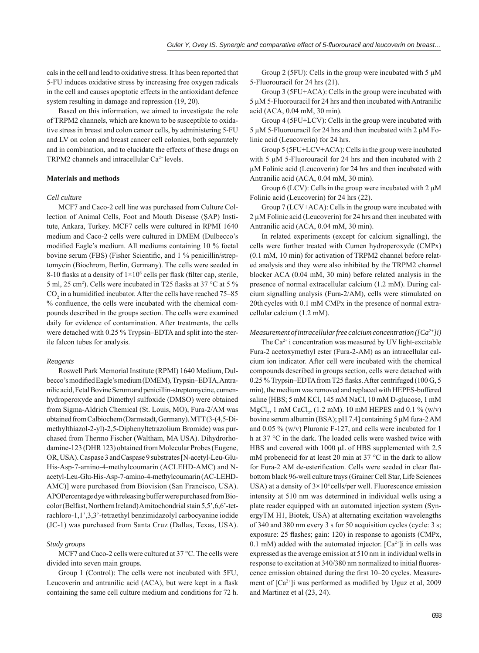cals in the cell and lead to oxidative stress. It has been reported that 5-FU induces oxidative stress by increasing free oxygen radicals in the cell and causes apoptotic effects in the antioxidant defence system resulting in damage and repression (19, 20).

Based on this information, we aimed to investigate the role of TRPM2 channels, which are known to be susceptible to oxidative stress in breast and colon cancer cells, by administering 5-FU and LV on colon and breast cancer cell colonies, both separately and in combination, and to elucidate the effects of these drugs on TRPM2 channels and intracellular Ca2+ levels.

## **Materials and methods**

## *Cell culture*

MCF7 and Caco-2 cell line was purchased from Culture Collection of Animal Cells, Foot and Mouth Disease (ŞAP) Institute, Ankara, Turkey. MCF7 cells were cultured in RPMI 1640 medium and Caco-2 cells were cultured in DMEM (Dulbecco's modified Eagle's medium. All mediums containing 10 % foetal bovine serum (FBS) (Fisher Scientific, and 1 % penicillin/streptomycin (Biochrom, Berlin, Germany). The cells were seeded in 8-10 flasks at a density of  $1 \times 10^6$  cells per flask (filter cap, sterile, 5 ml, 25 cm<sup>2</sup>). Cells were incubated in T25 flasks at 37 °C at 5 %  $CO<sub>2</sub>$  in a humidified incubator. After the cells have reached 75–85 % confluence, the cells were incubated with the chemical compounds described in the groups section. The cells were examined daily for evidence of contamination. After treatments, the cells were detached with 0.25 % Trypsin–EDTA and split into the sterile falcon tubes for analysis.

## *Reagents*

Roswell Park Memorial Institute (RPMI) 1640 Medium, Dulbecco's modified Eagle's medium (DMEM), Trypsin–EDTA, Antranilic acid, Fetal Bovine Serum and penicillin-streptomycine, cumenhydroperoxyde and Dimethyl sulfoxide (DMSO) were obtained from Sigma-Aldrich Chemical (St. Louis, MO), Fura-2/AM was obtained from Calbiochem (Darmstadt, Germany). MTT (3-(4,5-Dimethylthiazol-2-yl)-2,5-Diphenyltetrazolium Bromide) was purchased from Thermo Fischer (Waltham, MA USA). Dihydrorhodamine-123 (DHR 123) obtained from Molecular Probes (Eugene, OR, USA). Caspase 3 and Caspase 9 substrates [N-acetyl-Leu-Glu-His-Asp-7-amino-4-methylcoumarin (ACLEHD-AMC) and Nacetyl-Leu-Glu-His-Asp-7-amino-4-methylcoumarin (AC-LEHD-AMC)] were purchased from Biovision (San Francisco, USA). APOPercentage dye with releasing buffer were purchased from Biocolor (Belfast, Northern Ireland) A mitochondrial stain 5,5',6,6'-tetrachloro-1,1',3,3'-tetraethyl benzimidazolyl carbocyanine iodide (JC-1) was purchased from Santa Cruz (Dallas, Texas, USA).

## *Study groups*

MCF7 and Caco-2 cells were cultured at 37 °C. The cells were divided into seven main groups.

Group 1 (Control): The cells were not incubated with 5FU, Leucoverin and antranilic acid (ACA), but were kept in a flask containing the same cell culture medium and conditions for 72 h.

Group 2 (5FU): Cells in the group were incubated with 5 μM 5-Fluorouracil for 24 hrs (21).

Group 3 (5FU+ACA): Cells in the group were incubated with 5 μM 5-Fluorouracil for 24 hrs and then incubated with Antranilic acid (ACA, 0.04 mM, 30 min).

Group 4 (5FU+LCV): Cells in the group were incubated with 5 μM 5-Fluorouracil for 24 hrs and then incubated with 2 μM Folinic acid (Leucoverin) for 24 hrs.

Group 5 (5FU+LCV+ACA): Cells in the group were incubated with 5 μM 5-Fluorouracil for 24 hrs and then incubated with 2 μM Folinic acid (Leucoverin) for 24 hrs and then incubated with Antranilic acid (ACA, 0.04 mM, 30 min).

Group 6 (LCV): Cells in the group were incubated with 2 μM Folinic acid (Leucoverin) for 24 hrs (22).

Group 7 (LCV+ACA): Cells in the group were incubated with 2 μM Folinic acid (Leucoverin) for 24 hrs and then incubated with Antranilic acid (ACA, 0.04 mM, 30 min).

In related experiments (except for calcium signalling), the cells were further treated with Cumen hydroperoxyde (CMPx) (0.1 mM, 10 min) for activation of TRPM2 channel before related analysis and they were also inhibited by the TRPM2 channel blocker ACA (0.04 mM, 30 min) before related analysis in the presence of normal extracellular calcium (1.2 mM). During calcium signalling analysis (Fura-2/AM), cells were stimulated on 20th cycles with 0.1 mM CMPx in the presence of normal extracellular calcium (1.2 mM).

## *Measurement of intracellular free calcium concentration ([Ca2+]i)*

The  $Ca^{2+}$  i concentration was measured by UV light-excitable Fura-2 acetoxymethyl ester (Fura-2-AM) as an intracellular calcium ion indicator. After cell were incubated with the chemical compounds described in groups section, cells were detached with 0.25 % Trypsin–EDTA from T25 flasks. After centrifuged (100 G, 5) min), the medium was removed and replaced with HEPES-buffered saline [HBS; 5 mM KCl, 145 mM NaCl, 10 mM D-glucose, 1 mM MgCl<sub>2</sub>, 1 mM CaCl<sub>2</sub>, (1.2 mM). 10 mM HEPES and 0.1 % (w/v) bovine serum albumin (BSA); pH 7.4] containing 5 μM fura-2 AM and 0.05 % (w/v) Pluronic F-127, and cells were incubated for 1 h at 37 °C in the dark. The loaded cells were washed twice with HBS and covered with 1000 μL of HBS supplemented with 2.5 mM probenecid for at least 20 min at 37 °C in the dark to allow for Fura-2 AM de-esterification. Cells were seeded in clear flatbottom black 96-well culture trays (Grainer Cell Star, Life Sciences USA) at a density of  $3 \times 10^4$  cells/per well. Fluorescence emission intensity at 510 nm was determined in individual wells using a plate reader equipped with an automated injection system (SynergyTM H1, Biotek, USA) at alternating excitation wavelengths of 340 and 380 nm every 3 s for 50 acquisition cycles (cycle: 3 s; exposure:  $25$  flashes; gain:  $120$ ) in response to agonists (CMPx, 0.1 mM) added with the automated injector.  $[Ca^{2+}]$ i in cells was expressed as the average emission at 510 nm in individual wells in response to excitation at 340/380 nm normalized to initial fluorescence emission obtained during the first 10–20 cycles. Measurement of  $[Ca^{2+}]$ i was performed as modified by Uguz et al, 2009 and Martinez et al (23, 24).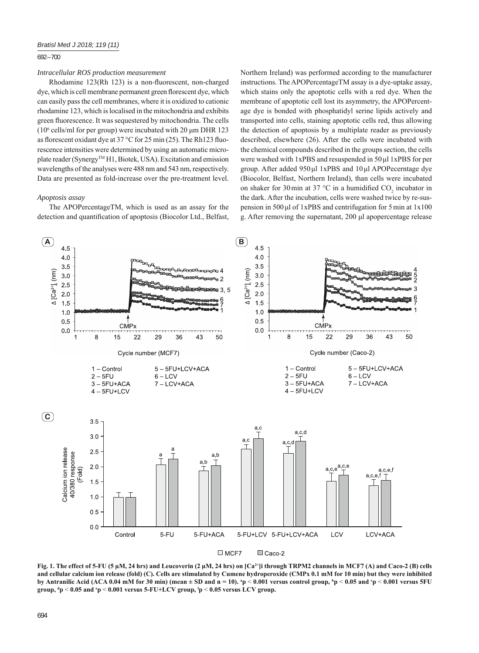## 692 – 700

## *Intracellular ROS production measurement*

Rhodamine  $123(Rh\ 123)$  is a non-fluorescent, non-charged dye, which is cell membrane permanent green florescent dye, which can easily pass the cell membranes, where it is oxidized to cationic rhodamine 123, which is localised in the mitochondria and exhibits green fluorescence. It was sequestered by mitochondria. The cells ( $10<sup>6</sup>$  cells/ml for per group) were incubated with 20  $\mu$ m DHR 123 as florescent oxidant dye at 37  $^{\circ}$ C for 25 min (25). The Rh123 fluorescence intensities were determined by using an automatic microplate reader (Synergy™ H1, Biotek, USA). Excitation and emission wavelengths of the analyses were 488 nm and 543 nm, respectively. Data are presented as fold-increase over the pre-treatment level.

## *Apoptosis assay*

The APOPercentageTM, which is used as an assay for the detection and quantification of apoptosis (Biocolor Ltd., Belfast, Northern Ireland) was performed according to the manufacturer instructions. The APOPercentageTM assay is a dye-uptake assay, which stains only the apoptotic cells with a red dye. When the membrane of apoptotic cell lost its asymmetry, the APOPercentage dye is bonded with phosphatidyl serine lipids actively and transported into cells, staining apoptotic cells red, thus allowing the detection of apoptosis by a multiplate reader as previously described, elsewhere (26). After the cells were incubated with the chemical compounds described in the groups section, the cells were washed with 1xPBS and resuspended in 50 μl 1xPBS for per group. After added 950 μl 1xPBS and 10 μl APOPecerntage dye (Biocolor, Belfast, Northern Ireland), than cells were incubated on shaker for 30 min at 37 °C in a humidified  $CO_2$  incubator in the dark. After the incubation, cells were washed twice by re-suspension in 500 μl of 1xPBS and centrifugation for 5 min at 1x100 g. After removing the supernatant, 200 μl apopercentage release



**Fig. 1. The effect of 5-FU (5 μM, 24 hrs) and Leucoverin (2 μM, 24 hrs) on [Ca2+]i through TRPM2 channels in MCF7 (A) and Caco-2 (B) cells and cellular calcium ion release (fold) (C). Cells are stimulated by Cumene hydroperoxide (CMPx 0.1 mM for 10 min) but they were inhibited**  by Antranilic Acid (ACA 0.04 mM for 30 min) (mean ± SD and n = 10). <sup>a</sup>p < 0.001 versus control group, <sup>b</sup>p < 0.05 and <sup>c</sup>p < 0.001 versus 5FU **group, d p** < **0.05 and e p** < **0.001 versus 5-FU+LCV group, f p** < **0.05 versus LCV group.**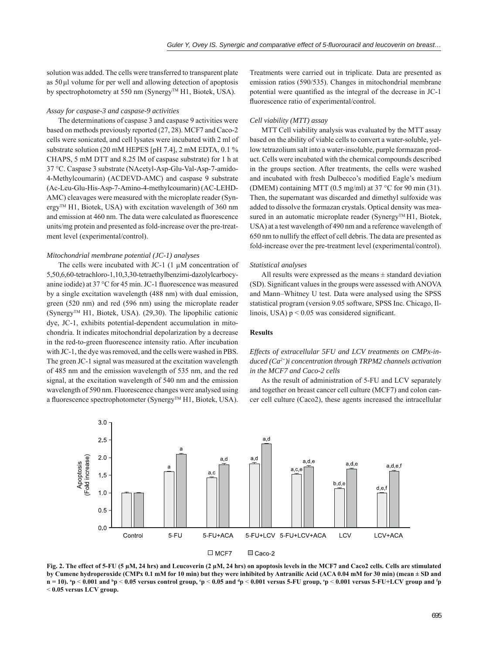solution was added. The cells were transferred to transparent plate as 50 μl volume for per well and allowing detection of apoptosis by spectrophotometry at 550 nm (Synergy™ H1, Biotek, USA).

## *Assay for caspase-3 and caspase-9 activities*

The determinations of caspase 3 and caspase 9 activities were based on methods previously reported (27, 28). MCF7 and Caco-2 cells were sonicated, and cell lysates were incubated with 2 ml of substrate solution (20 mM HEPES [pH 7.4], 2 mM EDTA, 0.1 % CHAPS, 5 mM DTT and 8.25 lM of caspase substrate) for 1 h at 37 °C. Caspase 3 substrate (NAcetyl-Asp-Glu-Val-Asp-7-amido-4-Methylcoumarin) (ACDEVD-AMC) and caspase 9 substrate (Ac-Leu-Glu-His-Asp-7-Amino-4-methylcoumarin) (AC-LEHD-AMC) cleavages were measured with the microplate reader (Synergy<sup>TM</sup> H1, Biotek, USA) with excitation wavelength of 360 nm and emission at 460 nm. The data were calculated as fluorescence units/mg protein and presented as fold-increase over the pre-treatment level (experimental/control).

## *Mitochondrial membrane potential (JC-1) analyses*

The cells were incubated with JC-1 (1 μM concentration of 5,50,6,60-tetrachloro-1,10,3,30-tetraethylbenzimi-dazolylcarbocyanine iodide) at  $37^{\circ}$ C for 45 min. JC-1 fluorescence was measured by a single excitation wavelength (488 nm) with dual emission, green (520 nm) and red (596 nm) using the microplate reader  $(Synergy<sup>TM</sup> H1, Biotek, USA)$ . (29,30). The lipophilic cationic dye, JC-1, exhibits potential-dependent accumulation in mitochondria. It indicates mitochondrial depolarization by a decrease in the red-to-green fluorescence intensity ratio. After incubation with JC-1, the dye was removed, and the cells were washed in PBS. The green JC-1 signal was measured at the excitation wavelength of 485 nm and the emission wavelength of 535 nm, and the red signal, at the excitation wavelength of 540 nm and the emission wavelength of 590 nm. Fluorescence changes were analysed using a fluorescence spectrophotometer (Synergy™ H1, Biotek, USA).

Treatments were carried out in triplicate. Data are presented as emission ratios (590/535). Changes in mitochondrial membrane potential were quantified as the integral of the decrease in JC-1 fluorescence ratio of experimental/control.

## *Cell viability (MTT) assay*

MTT Cell viability analysis was evaluated by the MTT assay based on the ability of viable cells to convert a water-soluble, yellow tetrazolium salt into a water-insoluble, purple formazan product. Cells were incubated with the chemical compounds described in the groups section. After treatments, the cells were washed and incubated with fresh Dulbecco's modified Eagle's medium (DMEM) containing MTT (0.5 mg/ml) at 37 °C for 90 min (31). Then, the supernatant was discarded and dimethyl sulfoxide was added to dissolve the formazan crystals. Optical density was measured in an automatic microplate reader (Synergy<sup>TM</sup> H1, Biotek, USA) at a test wavelength of 490 nm and a reference wavelength of 650 nm to nullify the effect of cell debris. The data are presented as fold-increase over the pre-treatment level (experimental/control).

### *Statistical analyses*

All results were expressed as the means  $\pm$  standard deviation (SD). Significant values in the groups were assessed with ANOVA and Mann–Whitney U test. Data were analysed using the SPSS statistical program (version 9.05 software, SPSS Inc. Chicago, Illinois, USA)  $p < 0.05$  was considered significant.

## **Results**

# *Effects of extracellular 5FU and LCV treatments on CMPx-induced (Ca2+)i concentration through TRPM2 channels activation in the MCF7 and Caco-2 cells*

As the result of administration of 5-FU and LCV separately and together on breast cancer cell culture (MCF7) and colon cancer cell culture (Caco2), these agents increased the intracellular



**Fig. 2. The effect of 5-FU (5 μM, 24 hrs) and Leucoverin (2 μM, 24 hrs) on apoptosis levels in the MCF7 and Caco2 cells. Cells are stimulated by Cumene hydroperoxide (CMPx 0.1 mM for 10 min) but they were inhibited by Antranilic Acid (ACA 0.04 mM for 30 min) (mean ± SD and**  n = 10). \*p < 0.001 and \*p < 0.05 versus control group, \*p < 0.05 and \*p < 0.001 versus 5-FU group, \*p < 0.001 versus 5-FU+LCV group and \*p < **0.05 versus LCV group.**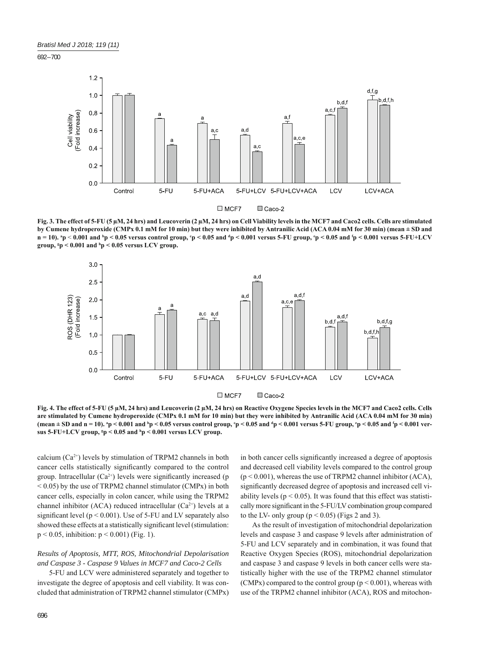692 – 700



**Fig. 3. The effect of 5-FU (5 μM, 24 hrs) and Leucoverin (2 μM, 24 hrs) on Cell Viability levels in the MCF7 and Caco2 cells. Cells are stimulated by Cumene hydroperoxide (CMPx 0.1 mM for 10 min) but they were inhibited by Antranilic Acid (ACA 0.04 mM for 30 min) (mean ± SD and n** = 10). \*p < 0.001 and \*p < 0.05 versus control group, <sup>c</sup>p < 0.05 and \*p < 0.001 versus 5-FU group, \*p < 0.05 and \*p < 0.001 versus 5-FU+LCV **group, g p < 0.001 and h p < 0.05 versus LCV group.**



**Fig. 4. The effect of 5-FU (5 μM, 24 hrs) and Leucoverin (2 μM, 24 hrs) on Reactive Oxygene Species levels in the MCF7 and Caco2 cells. Cells are stimulated by Cumene hydroperoxide (CMPx 0.1 mM for 10 min) but they were inhibited by Antranilic Acid (ACA 0.04 mM for 30 min)**  (mean ± SD and n = 10). <sup>a</sup>p < 0.001 and <sup>b</sup>p < 0.05 versus control group, <sup>c</sup>p < 0.05 and <sup>a</sup>p < 0.001 versus 5-FU group, <sup>c</sup>p < 0.05 and <sup>t</sup>p < 0.001 ver**sus 5-FU+LCV group, g p < 0.05 and h p < 0.001 versus LCV group.**

calcium  $(Ca^{2+})$  levels by stimulation of TRPM2 channels in both cancer cells statistically significantly compared to the control group. Intracellular  $(Ca^{2+})$  levels were significantly increased (p  $<$  0.05) by the use of TRPM2 channel stimulator (CMPx) in both cancer cells, especially in colon cancer, while using the TRPM2 channel inhibitor (ACA) reduced intracellular ( $Ca^{2+}$ ) levels at a significant level ( $p < 0.001$ ). Use of 5-FU and LV separately also showed these effects at a statistically significant level (stimulation:  $p < 0.05$ , inhibition:  $p < 0.001$ ) (Fig. 1).

# *Results of Apoptosis, MTT, ROS, Mitochondrial Depolarisation and Caspase 3 - Caspase 9 Values in MCF7 and Caco-2 Cells*

5-FU and LCV were administered separately and together to investigate the degree of apoptosis and cell viability. It was concluded that administration of TRPM2 channel stimulator (CMPx)

in both cancer cells significantly increased a degree of apoptosis and decreased cell viability levels compared to the control group  $(p < 0.001)$ , whereas the use of TRPM2 channel inhibitor (ACA), significantly decreased degree of apoptosis and increased cell viability levels ( $p < 0.05$ ). It was found that this effect was statistically more significant in the 5-FU/LV combination group compared to the LV- only group ( $p < 0.05$ ) (Figs 2 and 3).

As the result of investigation of mitochondrial depolarization levels and caspase 3 and caspase 9 levels after administration of 5-FU and LCV separately and in combination, it was found that Reactive Oxygen Species (ROS), mitochondrial depolarization and caspase 3 and caspase 9 levels in both cancer cells were statistically higher with the use of the TRPM2 channel stimulator (CMPx) compared to the control group ( $p < 0.001$ ), whereas with use of the TRPM2 channel inhibitor (ACA), ROS and mitochon-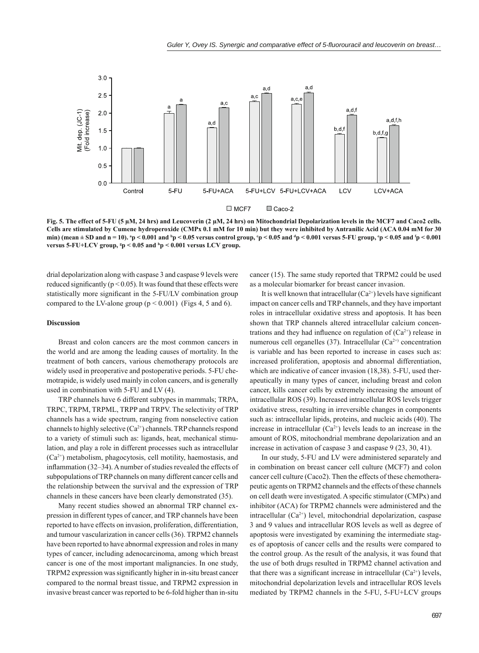

**Fig. 5. The effect of 5-FU (5 μM, 24 hrs) and Leucoverin (2 μM, 24 hrs) on Mitochondrial Depolarization levels in the MCF7 and Caco2 cells. Cells are stimulated by Cumene hydroperoxide (CMPx 0.1 mM for 10 min) but they were inhibited by Antranilic Acid (ACA 0.04 mM for 30**  min) (mean  $\pm$  SD and n = 10). <sup>3</sup>p < 0.001 and <sup>b</sup>p < 0.05 versus control group, <sup>c</sup>p < 0.05 and <sup>d</sup>p < 0.001 versus 5-FU group, <sup>c</sup>p < 0.05 and <sup>f</sup>p < 0.001 versus 5-FU+LCV group, <sup>s</sup>p < 0.05 and <sup>h</sup>p < 0.001 versus LCV group.

drial depolarization along with caspase 3 and caspase 9 levels were reduced significantly ( $p < 0.05$ ). It was found that these effects were statistically more significant in the 5-FU/LV combination group compared to the LV-alone group  $(p < 0.001)$  (Figs 4, 5 and 6).

#### **Discussion**

Breast and colon cancers are the most common cancers in the world and are among the leading causes of mortality. In the treatment of both cancers, various chemotherapy protocols are widely used in preoperative and postoperative periods. 5-FU chemotrapide, is widely used mainly in colon cancers, and is generally used in combination with 5-FU and LV (4).

TRP channels have 6 different subtypes in mammals; TRPA, TRPC, TRPM, TRPML, TRPP and TRPV. The selectivity of TRP channels has a wide spectrum, ranging from nonselective cation channels to highly selective  $(Ca^{2+})$  channels. TRP channels respond to a variety of stimuli such as: ligands, heat, mechanical stimulation, and play a role in different processes such as intracellular (Ca2+) metabolism, phagocytosis, cell motility, haemostasis, and inflammation  $(32-34)$ . A number of studies revealed the effects of subpopulations of TRP channels on many different cancer cells and the relationship between the survival and the expression of TRP channels in these cancers have been clearly demonstrated (35).

Many recent studies showed an abnormal TRP channel expression in different types of cancer, and TRP channels have been reported to have effects on invasion, proliferation, differentiation, and tumour vascularization in cancer cells (36). TRPM2 channels have been reported to have abnormal expression and roles in many types of cancer, including adenocarcinoma, among which breast cancer is one of the most important malignancies. In one study, TRPM2 expression was significantly higher in in-situ breast cancer compared to the normal breast tissue, and TRPM2 expression in invasive breast cancer was reported to be 6-fold higher than in-situ cancer (15). The same study reported that TRPM2 could be used as a molecular biomarker for breast cancer invasion.

It is well known that intracellular  $(Ca^{2+})$  levels have significant impact on cancer cells and TRP channels, and they have important roles in intracellular oxidative stress and apoptosis. It has been shown that TRP channels altered intracellular calcium concentrations and they had influence on regulation of  $(Ca^{2+})$  release in numerous cell organelles (37). Intracellular  $(Ca^{2+})$  concentration is variable and has been reported to increase in cases such as: increased proliferation, apoptosis and abnormal differentiation, which are indicative of cancer invasion (18,38). 5-FU, used therapeutically in many types of cancer, including breast and colon cancer, kills cancer cells by extremely increasing the amount of intracellular ROS (39). Increased intracellular ROS levels trigger oxidative stress, resulting in irreversible changes in components such as: intracellular lipids, proteins, and nucleic acids (40). The increase in intracellular  $(Ca^{2+})$  levels leads to an increase in the amount of ROS, mitochondrial membrane depolarization and an increase in activation of caspase 3 and caspase 9 (23, 30, 41).

In our study, 5-FU and LV were administered separately and in combination on breast cancer cell culture (MCF7) and colon cancer cell culture (Caco2). Then the effects of these chemotherapeutic agents on TRPM2 channels and the effects of these channels on cell death were investigated. A specific stimulator (CMPx) and inhibitor (ACA) for TRPM2 channels were administered and the intracellular  $(Ca^{2+})$  level, mitochondrial depolarization, caspase 3 and 9 values and intracellular ROS levels as well as degree of apoptosis were investigated by examining the intermediate stages of apoptosis of cancer cells and the results were compared to the control group. As the result of the analysis, it was found that the use of both drugs resulted in TRPM2 channel activation and that there was a significant increase in intracellular  $(Ca^{2+})$  levels, mitochondrial depolarization levels and intracellular ROS levels mediated by TRPM2 channels in the 5-FU, 5-FU+LCV groups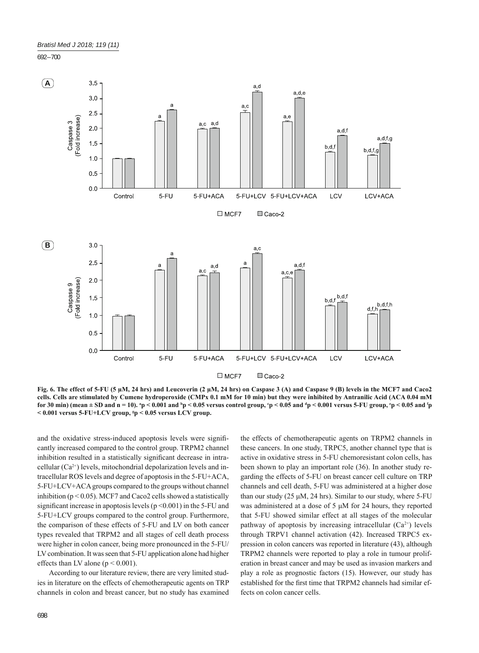692 – 700



**Fig. 6. The effect of 5-FU (5 μM, 24 hrs) and Leucoverin (2 μM, 24 hrs) on Caspase 3 (A) and Caspase 9 (B) levels in the MCF7 and Caco2 cells. Cells are stimulated by Cumene hydroperoxide (CMPx 0.1 mM for 10 min) but they were inhibited by Antranilic Acid (ACA 0.04 mM**  for 30 min) (mean ± SD and n = 10). <sup>3</sup>p < 0.001 and <sup>b</sup>p < 0.05 versus control group, <sup>c</sup>p < 0.05 and <sup>d</sup>p < 0.001 versus 5-FU group, <sup>c</sup>p < 0.05 and <sup>f</sup>p **< 0.001 versus 5-FU+LCV group, g p < 0.05 versus LCV group.**

and the oxidative stress-induced apoptosis levels were significantly increased compared to the control group. TRPM2 channel inhibition resulted in a statistically significant decrease in intracellular  $(Ca^{2+})$  levels, mitochondrial depolarization levels and intracellular ROS levels and degree of apoptosis in the 5-FU+ACA, 5-FU+LCV+ACA groups compared to the groups without channel inhibition ( $p < 0.05$ ). MCF7 and Caco2 cells showed a statistically significant increase in apoptosis levels ( $p \le 0.001$ ) in the 5-FU and 5-FU+LCV groups compared to the control group. Furthermore, the comparison of these effects of 5-FU and LV on both cancer types revealed that TRPM2 and all stages of cell death process were higher in colon cancer, being more pronounced in the 5-FU/ LV combination. It was seen that 5-FU application alone had higher effects than LV alone ( $p < 0.001$ ).

According to our literature review, there are very limited studies in literature on the effects of chemotherapeutic agents on TRP channels in colon and breast cancer, but no study has examined the effects of chemotherapeutic agents on TRPM2 channels in these cancers. In one study, TRPC5, another channel type that is active in oxidative stress in 5-FU chemoresistant colon cells, has been shown to play an important role (36). In another study regarding the effects of 5-FU on breast cancer cell culture on TRP channels and cell death, 5-FU was administered at a higher dose than our study  $(25 \mu M, 24 \text{ hrs})$ . Similar to our study, where 5-FU was administered at a dose of 5 μM for 24 hours, they reported that 5-FU showed similar effect at all stages of the molecular pathway of apoptosis by increasing intracellular  $(Ca^{2+})$  levels through TRPV1 channel activation (42). Increased TRPC5 expression in colon cancers was reported in literature (43), although TRPM2 channels were reported to play a role in tumour proliferation in breast cancer and may be used as invasion markers and play a role as prognostic factors (15). However, our study has established for the first time that TRPM2 channels had similar effects on colon cancer cells.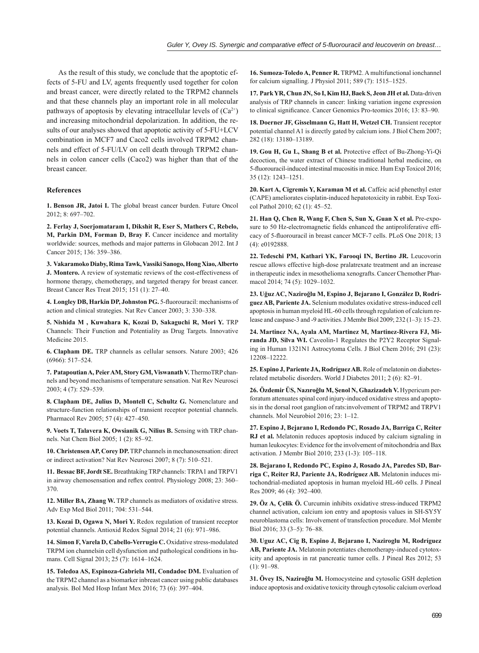As the result of this study, we conclude that the apoptotic effects of 5-FU and LV, agents frequently used together for colon and breast cancer, were directly related to the TRPM2 channels and that these channels play an important role in all molecular pathways of apoptosis by elevating intracellular levels of  $(Ca^{2+})$ and increasing mitochondrial depolarization. In addition, the results of our analyses showed that apoptotic activity of 5-FU+LCV combination in MCF7 and Caco2 cells involved TRPM2 channels and effect of 5-FU/LV on cell death through TRPM2 channels in colon cancer cells (Caco2) was higher than that of the breast cancer.

## **References**

**1. Benson JR, Jatoi I.** The global breast cancer burden. Future Oncol 2012; 8: 697–702.

**2. Ferlay J, Soerjomataram I, Dikshit R, Eser S, Mathers C, Rebelo, M, Parkin DM, Forman D, Bray F.** Cancer incidence and mortality worldwide: sources, methods and major patterns in Globacan 2012. Int J Cancer 2015; 136: 359–386.

**3. Vakaramoko Diaby, Rima Tawk, Vassiki Sanogo, Hong Xiao, Alberto J. Montero.** A review of systematic reviews of the cost-effectiveness of hormone therapy, chemotherapy, and targeted therapy for breast cancer. Breast Cancer Res Treat 2015; 151 (1): 27–40.

4. Longley DB, Harkin DP, Johnston PG. 5-fluorouracil: mechanisms of action and clinical strategies. Nat Rev Cancer 2003; 3: 330–338.

**5. Nishida M , Kuwahara K, Kozai D, Sakaguchi R, Mori Y.** TRP Channels: Their Function and Potentiality as Drug Targets. Innovative Medicine 2015.

**6. Clapham DE.** TRP channels as cellular sensors. Nature 2003; 426 (6966): 517–524.

**7. Patapoutian A, Peier AM, Story GM, Viswanath V.** ThermoTRP channels and beyond mechanisms of temperature sensation. Nat Rev Neurosci 2003; 4 (7): 529–539.

**8. Clapham DE, Julius D, Montell C, Schultz G.** Nomenclature and structure-function relationships of transient receptor potential channels. Pharmacol Rev 2005; 57 (4): 427–450.

**9. Voets T, Talavera K, Owsianik G, Nilius B.** Sensing with TRP channels. Nat Chem Biol 2005; 1 (2): 85–92.

**10. Christensen AP, Corey DP.** TRP channels in mechanosensation: direct or indirect activation? Nat Rev Neurosci 2007; 8 (7): 510–521.

**11. Bessac BF, Jordt SE.** Breathtaking TRP channels: TRPA1 and TRPV1 in airway chemosensation and reflex control. Physiology 2008; 23: 360-370.

**12. Miller BA, Zhang W.** TRP channels as mediators of oxidative stress. Adv Exp Med Biol 2011; 704: 531–544.

**13. Kozai D, Ogawa N, Mori Y.** Redox regulation of transient receptor potential channels. Antioxid Redox Signal 2014; 21 (6): 971–986.

**14. Simon F, Varela D, Cabello-Verrugio C.** Oxidative stress-modulated TRPM ion channelsin cell dysfunction and pathological conditions in humans. Cell Signal 2013; 25 (7): 1614–1624.

**15. Toledoa AS, Espinoza-Gabriela MI, Condadoc DM.** Evaluation of the TRPM2 channel as a biomarker inbreast cancer using public databases analysis. Bol Med Hosp Infant Mex 2016; 73 (6): 397–404.

**16. Sumoza-Toledo A, Penner R.** TRPM2. A multifunctional ionchannel for calcium signalling. J Physiol 2011; 589 (7): 1515–1525.

**17. Park YR, Chun JN, So I, Kim HJ, Baek S, Jeon JH et al.** Data-driven analysis of TRP channels in cancer: linking variation ingene expression to clinical significance. Cancer Genomics Pro-teomics 2016; 13: 83-90.

**18. Doerner JF, Gisselmann G, Hatt H, Wetzel CH.** Transient receptor potential channel A1 is directly gated by calcium ions. J Biol Chem 2007; 282 (18): 13180–13189.

**19. Gou H, Gu L, Shang B et al.** Protective effect of Bu-Zhong-Yi-Qi decoction, the water extract of Chinese traditional herbal medicine, on 5-fl uorouracil-induced intestinal mucositis in mice. Hum Exp Toxicol 2016; 35 (12): 1243–1251.

**20. Kart A, Cigremis Y, Karaman M et al.** Caffeic acid phenethyl ester (CAPE) ameliorates cisplatin-induced hepatotoxicity in rabbit. Exp Toxicol Pathol 2010; 62 (1): 45–52.

**21. Han Q, Chen R, Wang F, Chen S, Sun X, Guan X et al.** Pre-exposure to 50 Hz-electromagnetic fields enhanced the antiproliferative efficacy of 5-fluorouracil in breast cancer MCF-7 cells. PLoS One 2018; 13 (4): e0192888.

**22. Tedeschi PM, Kathari YK, Farooqi IN, Bertino JR.** Leucovorin rescue allows effective high-dose pralatrexate treatment and an increase in therapeutic index in mesothelioma xenografts. Cancer Chemother Pharmacol 2014; 74 (5): 1029-1032.

**23. Uğuz AC, Naziroğlu M, Espino J, Bejarano I, González D, Rodríguez AB, Pariente JA.** Selenium modulates oxidative stress-induced cell apoptosis in human myeloid HL-60 cells through regulation of calcium release and caspase-3 and -9 activities. J Membr Biol 2009; 232 (1–3): 15–23.

**24. Martinez NA, Ayala AM, Martinez M, Martinez-Rivera FJ, Miranda JD, Silva WI.** Caveolin-1 Regulates the P2Y2 Receptor Signaling in Human 1321N1 Astrocytoma Cells. J Biol Chem 2016; 291 (23): 12208–12222.

**25. Espino J, Pariente JA, Rodríguez AB.** Role of melatonin on diabetesrelated metabolic disorders. World J Diabetes 2011; 2 (6): 82–91.

**26. Özdemir ÜS, Nazıroğlu M, Şenol N, Ghazizadeh V.** Hypericum perforatum attenuates spinal cord injury-induced oxidative stress and apoptosis in the dorsal root ganglion of rats:involvement of TRPM2 and TRPV1 channels. Mol Neurobiol 2016; 23: 1–12.

**27. Espino J, Bejarano I, Redondo PC, Rosado JA, Barriga C, Reiter RJ et al.** Melatonin reduces apoptosis induced by calcium signaling in human leukocytes: Evidence for the involvement of mitochondria and Bax activation. J Membr Biol 2010; 233 (1-3): 105–118.

**28. Bejarano I, Redondo PC, Espino J, Rosado JA, Paredes SD, Barriga C, Reiter RJ, Pariente JA, Rodríguez AB.** Melatonin induces mitochondrial-mediated apoptosis in human myeloid HL-60 cells. J Pineal Res 2009; 46 (4): 392–400.

**29. Öz A, Çelik Ö.** Curcumin inhibits oxidative stress-induced TRPM2 channel activation, calcium ion entry and apoptosis values in SH-SY5Y neuroblastoma cells: Involvement of transfection procedure. Mol Membr Biol 2016; 33 (3–5): 76–88.

**30. Uguz AC, Cig B, Espino J, Bejarano I, Naziroglu M, Rodríguez AB, Pariente JA.** Melatonin potentiates chemotherapy-induced cytotoxicity and apoptosis in rat pancreatic tumor cells. J Pineal Res 2012; 53  $(1)$ : 91–98.

**31. Övey IS, Naziroğlu M.** Homocysteine and cytosolic GSH depletion induce apoptosis and oxidative toxicity through cytosolic calcium overload